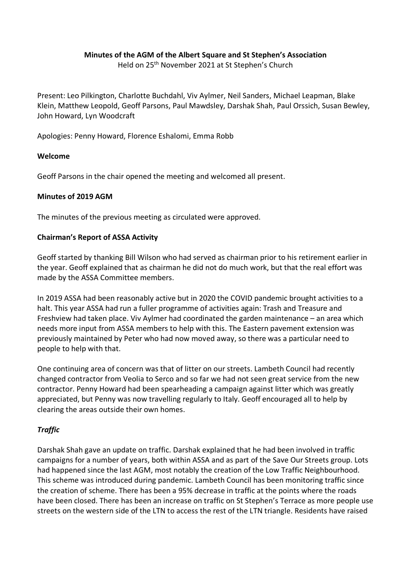# **Minutes of the AGM of the Albert Square and St Stephen's Association**

Held on 25th November 2021 at St Stephen's Church

Present: Leo Pilkington, Charlotte Buchdahl, Viv Aylmer, Neil Sanders, Michael Leapman, Blake Klein, Matthew Leopold, Geoff Parsons, Paul Mawdsley, Darshak Shah, Paul Orssich, Susan Bewley, John Howard, Lyn Woodcraft

Apologies: Penny Howard, Florence Eshalomi, Emma Robb

## **Welcome**

Geoff Parsons in the chair opened the meeting and welcomed all present.

## **Minutes of 2019 AGM**

The minutes of the previous meeting as circulated were approved.

## **Chairman's Report of ASSA Activity**

Geoff started by thanking Bill Wilson who had served as chairman prior to his retirement earlier in the year. Geoff explained that as chairman he did not do much work, but that the real effort was made by the ASSA Committee members.

In 2019 ASSA had been reasonably active but in 2020 the COVID pandemic brought activities to a halt. This year ASSA had run a fuller programme of activities again: Trash and Treasure and Freshview had taken place. Viv Aylmer had coordinated the garden maintenance – an area which needs more input from ASSA members to help with this. The Eastern pavement extension was previously maintained by Peter who had now moved away, so there was a particular need to people to help with that.

One continuing area of concern was that of litter on our streets. Lambeth Council had recently changed contractor from Veolia to Serco and so far we had not seen great service from the new contractor. Penny Howard had been spearheading a campaign against litter which was greatly appreciated, but Penny was now travelling regularly to Italy. Geoff encouraged all to help by clearing the areas outside their own homes.

# *Traffic*

Darshak Shah gave an update on traffic. Darshak explained that he had been involved in traffic campaigns for a number of years, both within ASSA and as part of the Save Our Streets group. Lots had happened since the last AGM, most notably the creation of the Low Traffic Neighbourhood. This scheme was introduced during pandemic. Lambeth Council has been monitoring traffic since the creation of scheme. There has been a 95% decrease in traffic at the points where the roads have been closed. There has been an increase on traffic on St Stephen's Terrace as more people use streets on the western side of the LTN to access the rest of the LTN triangle. Residents have raised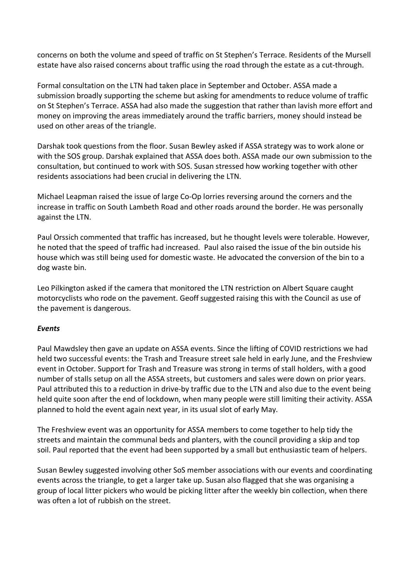concerns on both the volume and speed of traffic on St Stephen's Terrace. Residents of the Mursell estate have also raised concerns about traffic using the road through the estate as a cut-through.

Formal consultation on the LTN had taken place in September and October. ASSA made a submission broadly supporting the scheme but asking for amendments to reduce volume of traffic on St Stephen's Terrace. ASSA had also made the suggestion that rather than lavish more effort and money on improving the areas immediately around the traffic barriers, money should instead be used on other areas of the triangle.

Darshak took questions from the floor. Susan Bewley asked if ASSA strategy was to work alone or with the SOS group. Darshak explained that ASSA does both. ASSA made our own submission to the consultation, but continued to work with SOS. Susan stressed how working together with other residents associations had been crucial in delivering the LTN.

Michael Leapman raised the issue of large Co-Op lorries reversing around the corners and the increase in traffic on South Lambeth Road and other roads around the border. He was personally against the LTN.

Paul Orssich commented that traffic has increased, but he thought levels were tolerable. However, he noted that the speed of traffic had increased. Paul also raised the issue of the bin outside his house which was still being used for domestic waste. He advocated the conversion of the bin to a dog waste bin.

Leo Pilkington asked if the camera that monitored the LTN restriction on Albert Square caught motorcyclists who rode on the pavement. Geoff suggested raising this with the Council as use of the pavement is dangerous.

# *Events*

Paul Mawdsley then gave an update on ASSA events. Since the lifting of COVID restrictions we had held two successful events: the Trash and Treasure street sale held in early June, and the Freshview event in October. Support for Trash and Treasure was strong in terms of stall holders, with a good number of stalls setup on all the ASSA streets, but customers and sales were down on prior years. Paul attributed this to a reduction in drive-by traffic due to the LTN and also due to the event being held quite soon after the end of lockdown, when many people were still limiting their activity. ASSA planned to hold the event again next year, in its usual slot of early May.

The Freshview event was an opportunity for ASSA members to come together to help tidy the streets and maintain the communal beds and planters, with the council providing a skip and top soil. Paul reported that the event had been supported by a small but enthusiastic team of helpers.

Susan Bewley suggested involving other SoS member associations with our events and coordinating events across the triangle, to get a larger take up. Susan also flagged that she was organising a group of local litter pickers who would be picking litter after the weekly bin collection, when there was often a lot of rubbish on the street.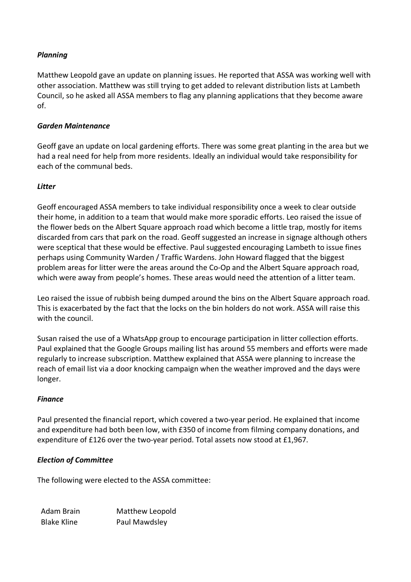# *Planning*

Matthew Leopold gave an update on planning issues. He reported that ASSA was working well with other association. Matthew was still trying to get added to relevant distribution lists at Lambeth Council, so he asked all ASSA members to flag any planning applications that they become aware of.

# *Garden Maintenance*

Geoff gave an update on local gardening efforts. There was some great planting in the area but we had a real need for help from more residents. Ideally an individual would take responsibility for each of the communal beds.

## *Litter*

Geoff encouraged ASSA members to take individual responsibility once a week to clear outside their home, in addition to a team that would make more sporadic efforts. Leo raised the issue of the flower beds on the Albert Square approach road which become a little trap, mostly for items discarded from cars that park on the road. Geoff suggested an increase in signage although others were sceptical that these would be effective. Paul suggested encouraging Lambeth to issue fines perhaps using Community Warden / Traffic Wardens. John Howard flagged that the biggest problem areas for litter were the areas around the Co-Op and the Albert Square approach road, which were away from people's homes. These areas would need the attention of a litter team.

Leo raised the issue of rubbish being dumped around the bins on the Albert Square approach road. This is exacerbated by the fact that the locks on the bin holders do not work. ASSA will raise this with the council.

Susan raised the use of a WhatsApp group to encourage participation in litter collection efforts. Paul explained that the Google Groups mailing list has around 55 members and efforts were made regularly to increase subscription. Matthew explained that ASSA were planning to increase the reach of email list via a door knocking campaign when the weather improved and the days were longer.

#### *Finance*

Paul presented the financial report, which covered a two-year period. He explained that income and expenditure had both been low, with £350 of income from filming company donations, and expenditure of £126 over the two-year period. Total assets now stood at £1,967.

# *Election of Committee*

The following were elected to the ASSA committee:

Adam Brain Matthew Leopold Blake Kline Paul Mawdsley